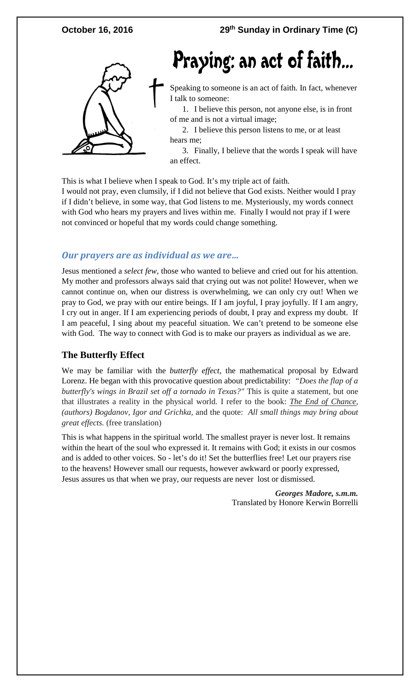

# Praying: an act of faith...

Speaking to someone is an act of faith. In fact, whenever I talk to someone:

1. I believe this person, not anyone else, is in front of me and is not a virtual image;

2. I believe this person listens to me, or at least hears me;

3. Finally, I believe that the words I speak will have an effect.

This is what I believe when I speak to God. It's my triple act of faith.

I would not pray, even clumsily, if I did not believe that God exists. Neither would I pray if I didn't believe, in some way, that God listens to me. Mysteriously, my words connect with God who hears my prayers and lives within me. Finally I would not pray if I were not convinced or hopeful that my words could change something.

### *Our prayers are as individual as we are…*

Jesus mentioned a *select few*, those who wanted to believe and cried out for his attention. My mother and professors always said that crying out was not polite! However, when we cannot continue on, when our distress is overwhelming, we can only cry out! When we pray to God, we pray with our entire beings. If I am joyful, I pray joyfully. If I am angry, I cry out in anger. If I am experiencing periods of doubt, I pray and express my doubt. If I am peaceful, I sing about my peaceful situation. We can't pretend to be someone else with God. The way to connect with God is to make our prayers as individual as we are.

### **The Butterfly Effect**

We may be familiar with the *butterfly effect*, the mathematical proposal by Edward Lorenz. He began with this provocative question about predictability: *"Does the flap of a butterfly's wings in Brazil set off a tornado in Texas?"* This is quite a statement, but one that illustrates a reality in the physical world. I refer to the book: *The End of Chance, (authors) Bogdanov, Igor and Grichka,* and the quote: *All small things may bring about great effects.* (free translation)

This is what happens in the spiritual world. The smallest prayer is never lost. It remains within the heart of the soul who expressed it. It remains with God; it exists in our cosmos and is added to other voices. So - let's do it! Set the butterflies free! Let our prayers rise to the heavens! However small our requests, however awkward or poorly expressed, Jesus assures us that when we pray, our requests are never lost or dismissed.

> *Georges Madore, s.m.m.* Translated by Honore Kerwin Borrelli